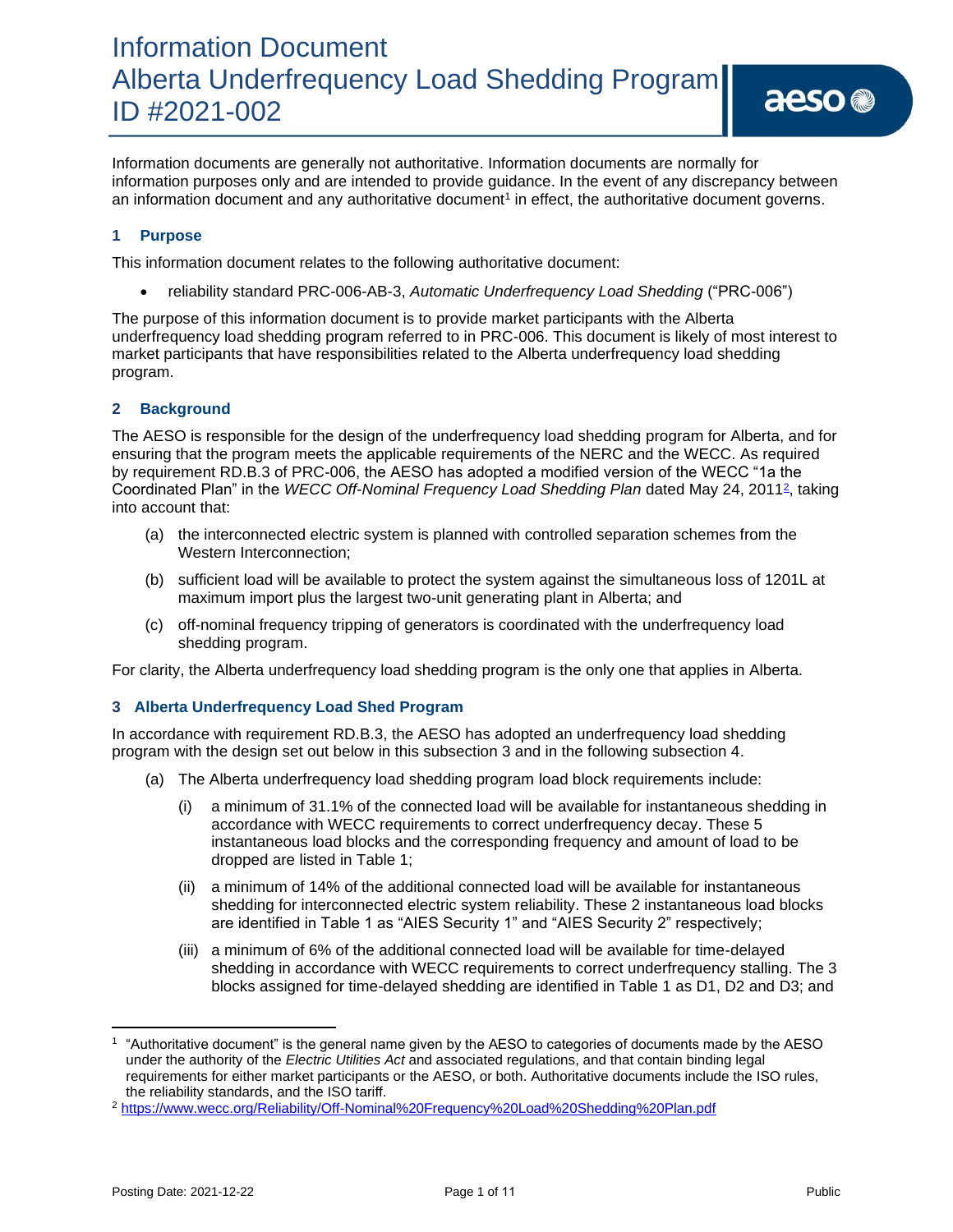#### **1 Purpose**

This information document relates to the following authoritative document:

• reliability standard PRC-006-AB-3, *Automatic Underfrequency Load Shedding* ("PRC-006")

an information document and any authoritative document<sup>1</sup> in effect, the authoritative document governs.

The purpose of this information document is to provide market participants with the Alberta underfrequency load shedding program referred to in PRC-006. This document is likely of most interest to market participants that have responsibilities related to the Alberta underfrequency load shedding program.

#### **2 Background**

The AESO is responsible for the design of the underfrequency load shedding program for Alberta, and for ensuring that the program meets the applicable requirements of the NERC and the WECC. As required by requirement RD.B.3 of PRC-006, the AESO has adopted a modified version of the WECC "1a the Coordinated Plan" in the WECC Off-Nominal Frequency Load Shedding Plan dated May 24, 2011<sup>2</sup>, taking into account that:

- (a) the interconnected electric system is planned with controlled separation schemes from the Western Interconnection;
- (b) sufficient load will be available to protect the system against the simultaneous loss of 1201L at maximum import plus the largest two-unit generating plant in Alberta; and
- (c) off-nominal frequency tripping of generators is coordinated with the underfrequency load shedding program.

For clarity, the Alberta underfrequency load shedding program is the only one that applies in Alberta.

#### **3 Alberta Underfrequency Load Shed Program**

In accordance with requirement RD.B.3, the AESO has adopted an underfrequency load shedding program with the design set out below in this subsection 3 and in the following subsection 4.

- (a) The Alberta underfrequency load shedding program load block requirements include:
	- a minimum of 31.1% of the connected load will be available for instantaneous shedding in accordance with WECC requirements to correct underfrequency decay. These 5 instantaneous load blocks and the corresponding frequency and amount of load to be dropped are listed in Table 1;
	- (ii) a minimum of 14% of the additional connected load will be available for instantaneous shedding for interconnected electric system reliability. These 2 instantaneous load blocks are identified in Table 1 as "AIES Security 1" and "AIES Security 2" respectively;
	- (iii) a minimum of 6% of the additional connected load will be available for time-delayed shedding in accordance with WECC requirements to correct underfrequency stalling. The 3 blocks assigned for time-delayed shedding are identified in Table 1 as D1, D2 and D3; and

aeso<sup>®</sup>

<sup>1</sup> "Authoritative document" is the general name given by the AESO to categories of documents made by the AESO under the authority of the *Electric Utilities Act* and associated regulations, and that contain binding legal requirements for either market participants or the AESO, or both. Authoritative documents include the ISO rules, the reliability standards, and the ISO tariff.

<sup>2</sup> <https://www.wecc.org/Reliability/Off-Nominal%20Frequency%20Load%20Shedding%20Plan.pdf>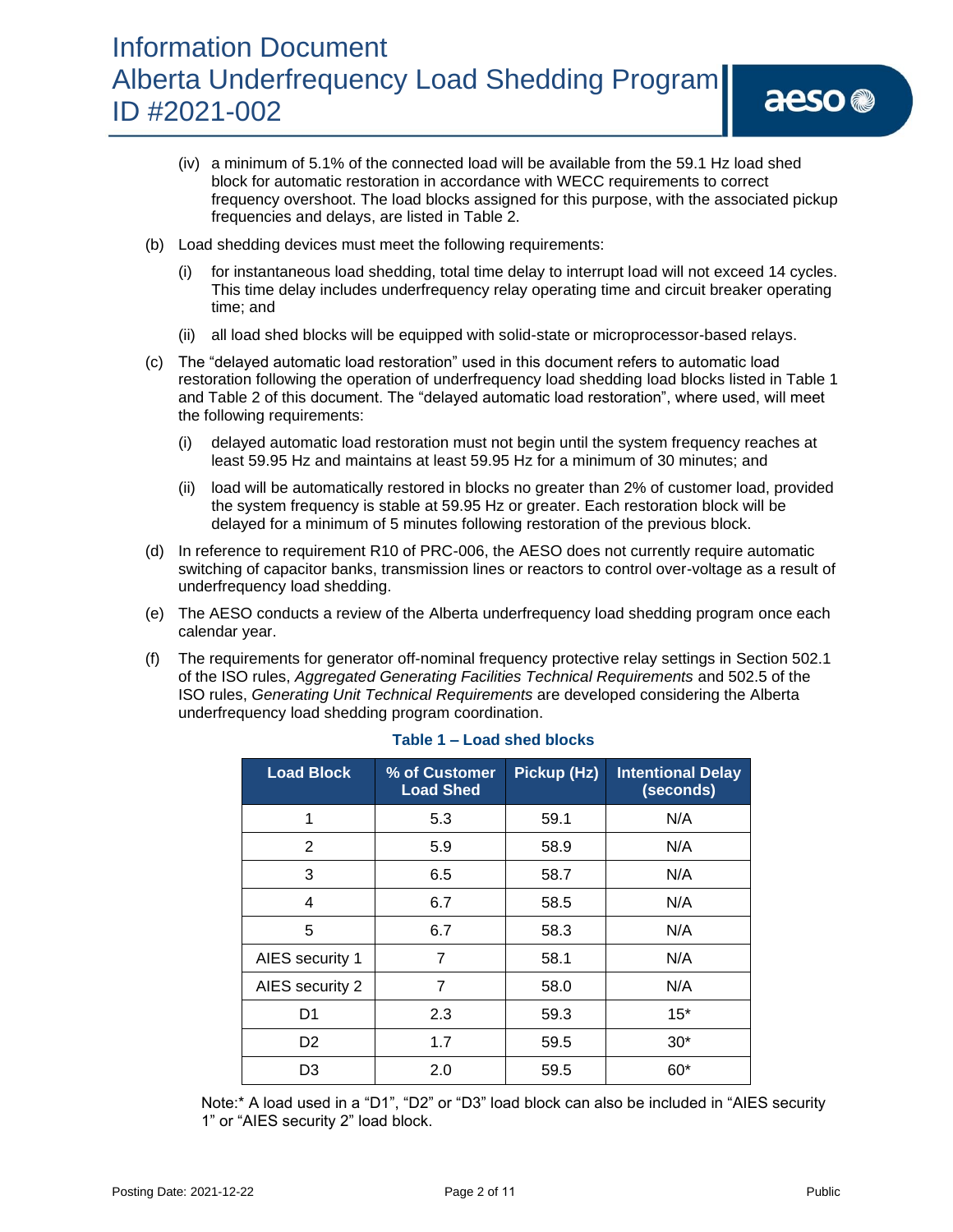# Information Document Alberta Underfrequency Load Shedding Program ID #2021-002

- (b) Load shedding devices must meet the following requirements:
	- (i) for instantaneous load shedding, total time delay to interrupt load will not exceed 14 cycles. This time delay includes underfrequency relay operating time and circuit breaker operating time; and
	- (ii) all load shed blocks will be equipped with solid-state or microprocessor-based relays.
- (c) The "delayed automatic load restoration" used in this document refers to automatic load restoration following the operation of underfrequency load shedding load blocks listed in Table 1 and Table 2 of this document. The "delayed automatic load restoration", where used, will meet the following requirements:
	- (i) delayed automatic load restoration must not begin until the system frequency reaches at least 59.95 Hz and maintains at least 59.95 Hz for a minimum of 30 minutes; and
	- (ii) load will be automatically restored in blocks no greater than 2% of customer load, provided the system frequency is stable at 59.95 Hz or greater. Each restoration block will be delayed for a minimum of 5 minutes following restoration of the previous block.
- (d) In reference to requirement R10 of PRC-006, the AESO does not currently require automatic switching of capacitor banks, transmission lines or reactors to control over-voltage as a result of underfrequency load shedding.
- (e) The AESO conducts a review of the Alberta underfrequency load shedding program once each calendar year.
- (f) The requirements for generator off-nominal frequency protective relay settings in Section 502.1 of the ISO rules, *Aggregated Generating Facilities Technical Requirements* and 502.5 of the ISO rules, *Generating Unit Technical Requirements* are developed considering the Alberta underfrequency load shedding program coordination.

| <b>Load Block</b> | % of Customer<br><b>Load Shed</b> | Pickup (Hz) | <b>Intentional Delay</b><br>(seconds) |  |  |  |
|-------------------|-----------------------------------|-------------|---------------------------------------|--|--|--|
| 1                 | 5.3                               | 59.1        | N/A                                   |  |  |  |
| 2                 | 5.9                               | 58.9        | N/A                                   |  |  |  |
| 3                 | 6.5                               | 58.7        | N/A                                   |  |  |  |
| 4                 | 6.7                               | 58.5        | N/A                                   |  |  |  |
| 5                 | 6.7                               | 58.3        | N/A                                   |  |  |  |
| AIES security 1   | 7                                 | 58.1        | N/A                                   |  |  |  |
| AIES security 2   | 7                                 | 58.0        | N/A                                   |  |  |  |
| D1                | 2.3                               | 59.3        | $15*$                                 |  |  |  |
| D <sub>2</sub>    | 1.7                               | 59.5        | $30*$                                 |  |  |  |
| D3                | 2.0                               | 59.5        | $60*$                                 |  |  |  |

#### **Table 1 – Load shed blocks**

Note:\* A load used in a "D1", "D2" or "D3" load block can also be included in "AIES security 1" or "AIES security 2" load block.

aeso<sup>®</sup>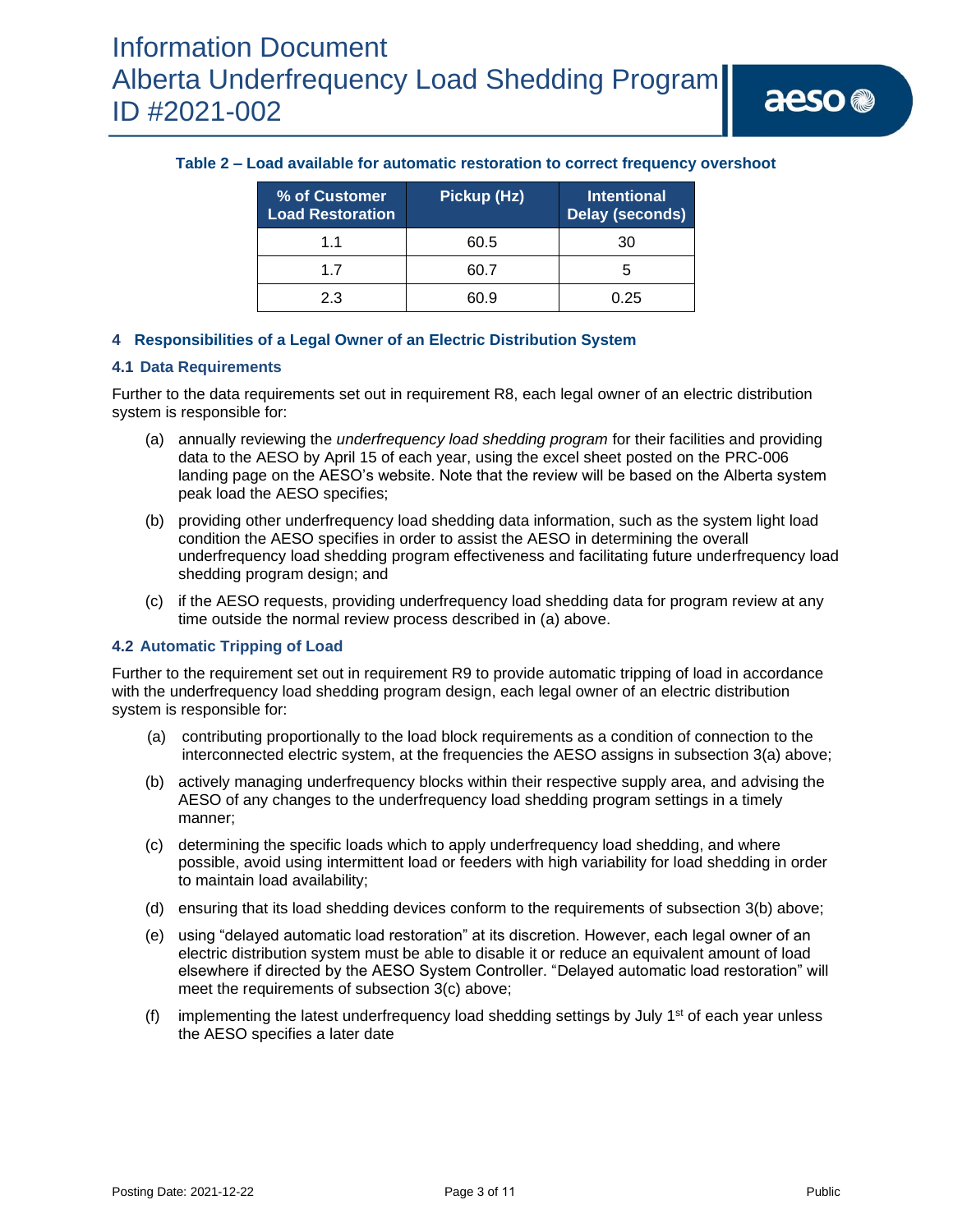#### **Table 2 – Load available for automatic restoration to correct frequency overshoot**

| % of Customer<br><b>Load Restoration</b> | Pickup (Hz) | <b>Intentional</b><br><b>Delay (seconds)</b> |  |  |  |  |
|------------------------------------------|-------------|----------------------------------------------|--|--|--|--|
| 11                                       | 60.5        | 30                                           |  |  |  |  |
| 17                                       | 60.7        |                                              |  |  |  |  |
| 23                                       | 60 9        | በ 25                                         |  |  |  |  |

#### **4 Responsibilities of a Legal Owner of an Electric Distribution System**

#### **4.1 Data Requirements**

Further to the data requirements set out in requirement R8, each legal owner of an electric distribution system is responsible for:

- (a) annually reviewing the *underfrequency load shedding program* for their facilities and providing data to the AESO by April 15 of each year, using the excel sheet posted on the PRC-006 landing page on the AESO's website. Note that the review will be based on the Alberta system peak load the AESO specifies;
- (b) providing other underfrequency load shedding data information, such as the system light load condition the AESO specifies in order to assist the AESO in determining the overall underfrequency load shedding program effectiveness and facilitating future underfrequency load shedding program design; and
- (c) if the AESO requests, providing underfrequency load shedding data for program review at any time outside the normal review process described in (a) above.

#### **4.2 Automatic Tripping of Load**

Further to the requirement set out in requirement R9 to provide automatic tripping of load in accordance with the underfrequency load shedding program design, each legal owner of an electric distribution system is responsible for:

- (a) contributing proportionally to the load block requirements as a condition of connection to the interconnected electric system, at the frequencies the AESO assigns in subsection 3(a) above;
- (b) actively managing underfrequency blocks within their respective supply area, and advising the AESO of any changes to the underfrequency load shedding program settings in a timely manner;
- (c) determining the specific loads which to apply underfrequency load shedding, and where possible, avoid using intermittent load or feeders with high variability for load shedding in order to maintain load availability;
- (d) ensuring that its load shedding devices conform to the requirements of subsection 3(b) above;
- (e) using "delayed automatic load restoration" at its discretion. However, each legal owner of an electric distribution system must be able to disable it or reduce an equivalent amount of load elsewhere if directed by the AESO System Controller. "Delayed automatic load restoration" will meet the requirements of subsection 3(c) above;
- (f) implementing the latest underfrequency load shedding settings by July  $1<sup>st</sup>$  of each year unless the AESO specifies a later date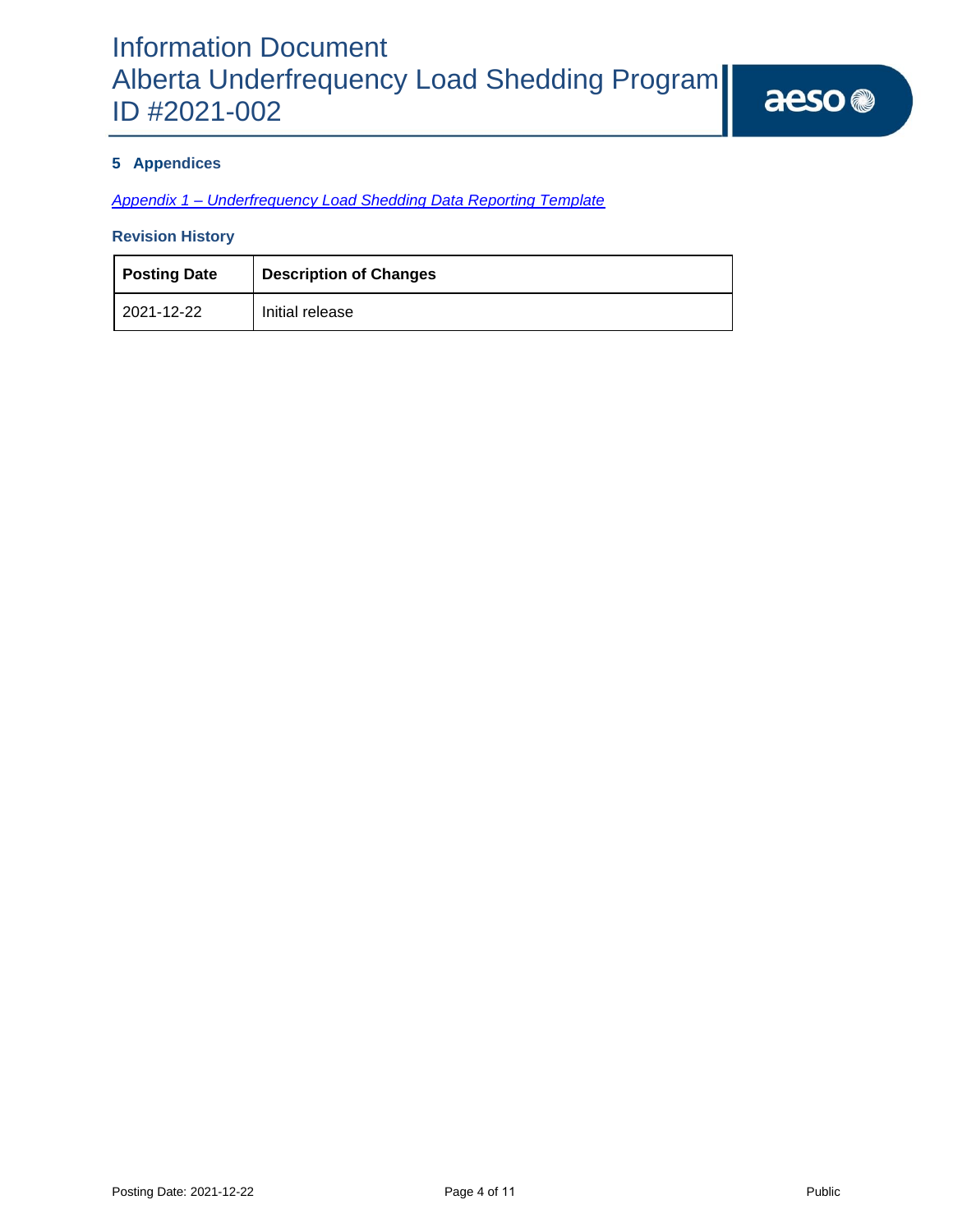### **5 Appendices**

*Appendix 1 – [Underfrequency Load Shedding Data Reporting Template](https://www.aeso.ca/assets/Information-Documents/2021-002-Appendix-1-PRC-006-AB-UFLS-Data-Reporting-Template.xlsx)*

### **Revision History**

| <b>Posting Date</b> | <b>Description of Changes</b> |
|---------------------|-------------------------------|
| 2021-12-22          | Initial release               |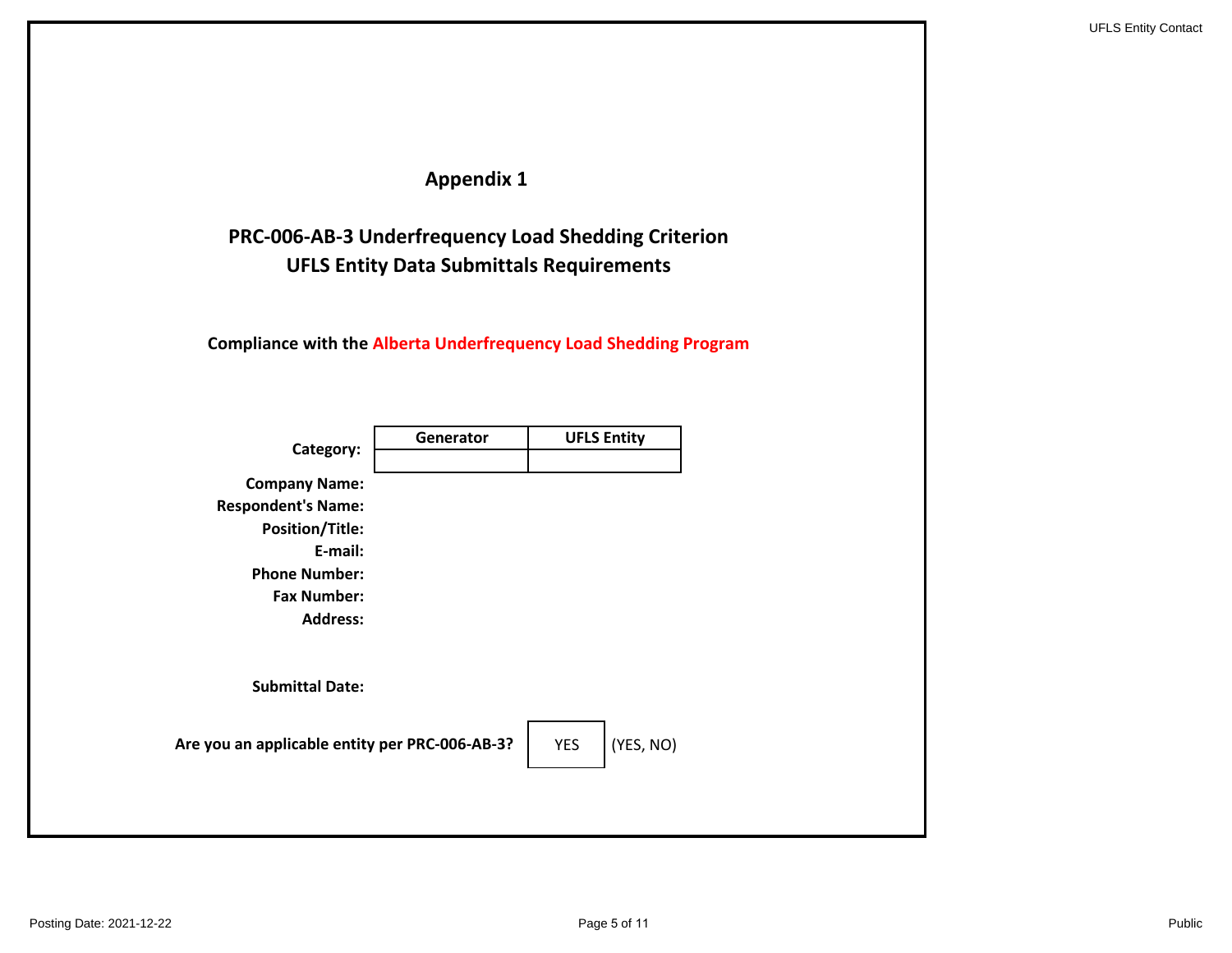## **Appendix 1**

## **UFLS Entity Data Submittals Requirements PRC-006-AB-3 Underfrequency Load Shedding Criterion**

**Compliance with the Alberta Underfrequency Load Shedding Program**

| Category:                                                                                                                                               | Generator | <b>UFLS Entity</b>      |
|---------------------------------------------------------------------------------------------------------------------------------------------------------|-----------|-------------------------|
| <b>Company Name:</b><br><b>Respondent's Name:</b><br><b>Position/Title:</b><br>E-mail:<br><b>Phone Number:</b><br><b>Fax Number:</b><br><b>Address:</b> |           |                         |
| <b>Submittal Date:</b>                                                                                                                                  |           |                         |
| Are you an applicable entity per PRC-006-AB-3?                                                                                                          |           | (YES, NO)<br><b>YES</b> |
|                                                                                                                                                         |           |                         |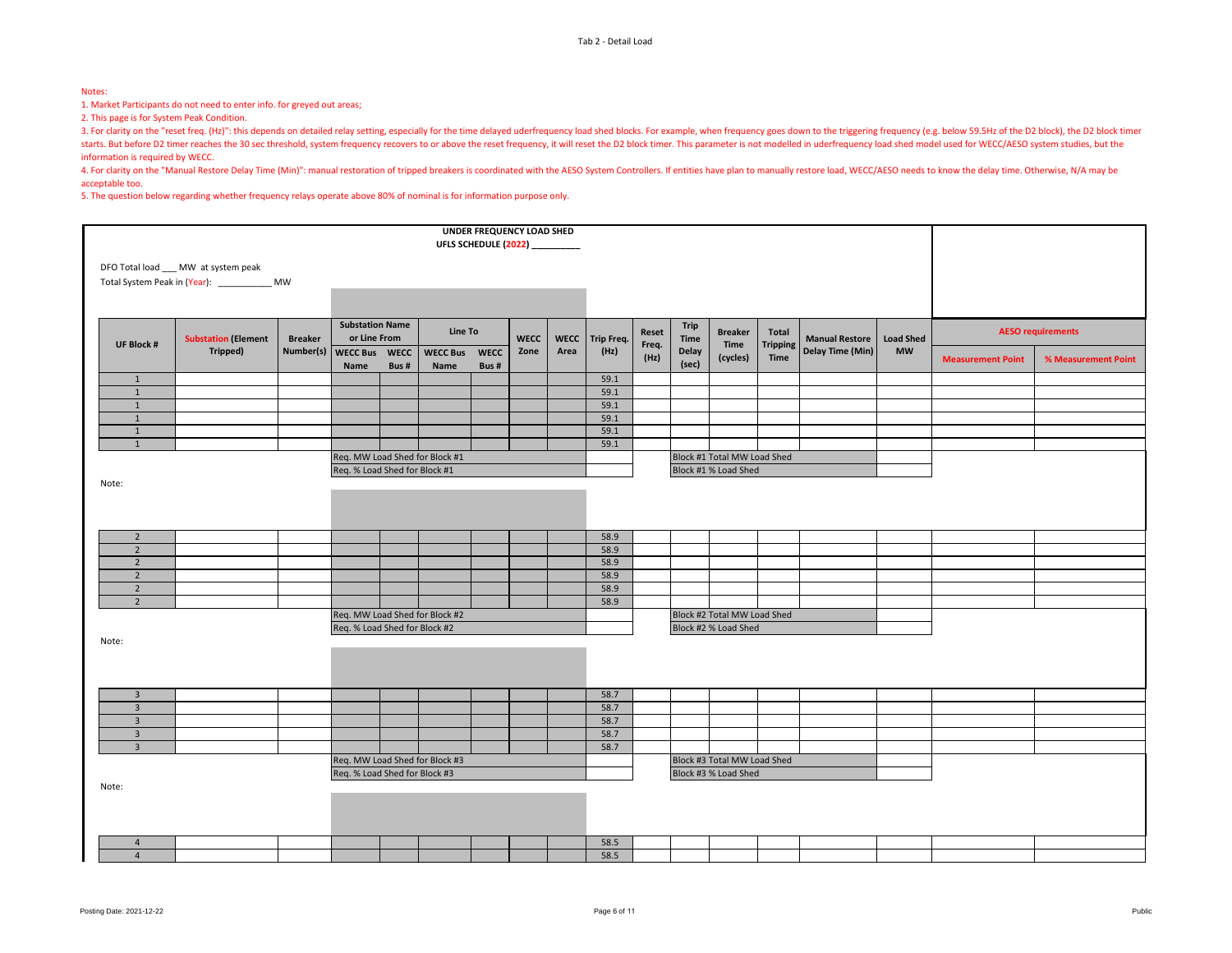#### Notes:

1. Market Participants do not need to enter info. for greyed out areas;

2. This page is for System Peak Condition.

3. For clarity on the "reset freq. (Hz)": this depends on detailed relay setting, especially for the time delayed uderfrequency load shed blocks. For example, when frequency goes down to the triggering frequency (e.g. belo starts. But before D2 timer reaches the 30 sec threshold, system frequency recovers to or above the reset frequency, it will reset the D2 block timer. This parameter is not modelled in uderfrequency load shed model used fo information is required by WECC.

4. For clarity on the "Manual Restore Delay Time (Min)": manual restoration of tripped breakers is coordinated with the AESO System Controllers. If entities have plan to manually restore load, WECC/AESO needs to know the d acceptable too.

5. The question below regarding whether frequency relays operate above 80% of nominal is for information purpose only.

|                                                       |                                               |                |                                        |      | <b>UFLS SCHEDULE (2022)</b> __________ |             | UNDER FREQUENCY LOAD SHED |      |                 |               |              |                                             |                  |                |                          |                     |                          |  |
|-------------------------------------------------------|-----------------------------------------------|----------------|----------------------------------------|------|----------------------------------------|-------------|---------------------------|------|-----------------|---------------|--------------|---------------------------------------------|------------------|----------------|--------------------------|---------------------|--------------------------|--|
|                                                       | DFO Total load ___ MW at system peak          |                |                                        |      |                                        |             |                           |      |                 |               |              |                                             |                  |                |                          |                     |                          |  |
|                                                       | Total System Peak in (Year): _____________ MW |                |                                        |      |                                        |             |                           |      |                 |               |              |                                             |                  |                |                          |                     |                          |  |
|                                                       |                                               |                |                                        |      |                                        |             |                           |      |                 |               |              |                                             |                  |                |                          |                     |                          |  |
|                                                       | <b>Substation (Element</b>                    | <b>Breaker</b> | <b>Substation Name</b><br>or Line From |      | Line To                                |             | <b>WECC</b>               |      | WECC Trip Freq. | Reset         | Trip<br>Time | <b>Breaker</b>                              | Total            | Manual Restore | <b>Load Shed</b>         |                     | <b>AESO requirements</b> |  |
| <b>UF Block #</b>                                     | Tripped)                                      | Number(s)      | WECC Bus WECC                          |      | <b>WECC Bus</b>                        | <b>WECC</b> | Zone                      | Area | (Hz)            | Freq.<br>(Hz) | Delay        | <b>Tripping</b><br>Time<br>Time<br>(cycles) | Delay Time (Min) | <b>MW</b>      | <b>Measurement Point</b> | % Measurement Point |                          |  |
|                                                       |                                               |                | Name                                   | Bus# | Name                                   | Bus#        |                           |      |                 |               | (sec)        |                                             |                  |                |                          |                     |                          |  |
| $\mathbf{1}$<br>1                                     |                                               |                |                                        |      |                                        |             |                           |      | 59.1<br>59.1    |               |              |                                             |                  |                |                          |                     |                          |  |
| $\mathbf{1}$                                          |                                               |                |                                        |      |                                        |             |                           |      | 59.1            |               |              |                                             |                  |                |                          |                     |                          |  |
| 1                                                     |                                               |                |                                        |      |                                        |             |                           |      | 59.1            |               |              |                                             |                  |                |                          |                     |                          |  |
| $\mathbf{1}$                                          |                                               |                |                                        |      |                                        |             |                           |      | 59.1            |               |              |                                             |                  |                |                          |                     |                          |  |
| $\mathbf{1}$                                          |                                               |                |                                        |      |                                        |             |                           |      | 59.1            |               |              |                                             |                  |                |                          |                     |                          |  |
|                                                       |                                               |                | Req. MW Load Shed for Block #1         |      |                                        |             |                           |      |                 |               |              | Block #1 Total MW Load Shed                 |                  |                |                          |                     |                          |  |
|                                                       |                                               |                | Req. % Load Shed for Block #1          |      |                                        |             |                           |      |                 |               |              | Block #1 % Load Shed                        |                  |                |                          |                     |                          |  |
| Note:                                                 |                                               |                |                                        |      |                                        |             |                           |      |                 |               |              |                                             |                  |                |                          |                     |                          |  |
|                                                       |                                               |                |                                        |      |                                        |             |                           |      |                 |               |              |                                             |                  |                |                          |                     |                          |  |
|                                                       |                                               |                |                                        |      |                                        |             |                           |      |                 |               |              |                                             |                  |                |                          |                     |                          |  |
|                                                       |                                               |                |                                        |      |                                        |             |                           |      |                 |               |              |                                             |                  |                |                          |                     |                          |  |
| $\overline{2}$                                        |                                               |                |                                        |      |                                        |             |                           |      | 58.9            |               |              |                                             |                  |                |                          |                     |                          |  |
| $\overline{2}$                                        |                                               |                |                                        |      |                                        |             |                           |      | 58.9            |               |              |                                             |                  |                |                          |                     |                          |  |
| $\overline{2}$                                        |                                               |                |                                        |      |                                        |             |                           |      | 58.9            |               |              |                                             |                  |                |                          |                     |                          |  |
| $\overline{2}$                                        |                                               |                |                                        |      |                                        |             |                           |      | 58.9            |               |              |                                             |                  |                |                          |                     |                          |  |
| $\overline{2}$                                        |                                               |                |                                        |      |                                        |             |                           |      | 58.9            |               |              |                                             |                  |                |                          |                     |                          |  |
| $2^{\circ}$                                           |                                               |                |                                        |      |                                        |             |                           |      | 58.9            |               |              |                                             |                  |                |                          |                     |                          |  |
|                                                       |                                               |                | Req. MW Load Shed for Block #2         |      |                                        |             |                           |      |                 |               |              | Block #2 Total MW Load Shed                 |                  |                |                          |                     |                          |  |
|                                                       |                                               |                | Req. % Load Shed for Block #2          |      |                                        |             |                           |      |                 |               |              | Block #2 % Load Shed                        |                  |                |                          |                     |                          |  |
| Note:                                                 |                                               |                |                                        |      |                                        |             |                           |      |                 |               |              |                                             |                  |                |                          |                     |                          |  |
|                                                       |                                               |                |                                        |      |                                        |             |                           |      |                 |               |              |                                             |                  |                |                          |                     |                          |  |
|                                                       |                                               |                |                                        |      |                                        |             |                           |      |                 |               |              |                                             |                  |                |                          |                     |                          |  |
| $\overline{3}$                                        |                                               |                |                                        |      |                                        |             |                           |      | 58.7            |               |              |                                             |                  |                |                          |                     |                          |  |
| $\overline{3}$                                        |                                               |                |                                        |      |                                        |             |                           |      | 58.7            |               |              |                                             |                  |                |                          |                     |                          |  |
| $\overline{\mathbf{3}}$                               |                                               |                |                                        |      |                                        |             |                           |      | 58.7            |               |              |                                             |                  |                |                          |                     |                          |  |
| $\overline{3}$                                        |                                               |                |                                        |      |                                        |             |                           |      | 58.7            |               |              |                                             |                  |                |                          |                     |                          |  |
| $\overline{\mathbf{3}}$                               |                                               |                |                                        |      |                                        |             |                           |      | 58.7            |               |              |                                             |                  |                |                          |                     |                          |  |
|                                                       |                                               |                | Req. MW Load Shed for Block #3         |      |                                        |             |                           |      |                 |               |              | Block #3 Total MW Load Shed                 |                  |                |                          |                     |                          |  |
| Req. % Load Shed for Block #3<br>Block #3 % Load Shed |                                               |                |                                        |      |                                        |             |                           |      |                 |               |              |                                             |                  |                |                          |                     |                          |  |
| Note:                                                 |                                               |                |                                        |      |                                        |             |                           |      |                 |               |              |                                             |                  |                |                          |                     |                          |  |
|                                                       |                                               |                |                                        |      |                                        |             |                           |      |                 |               |              |                                             |                  |                |                          |                     |                          |  |
|                                                       |                                               |                |                                        |      |                                        |             |                           |      |                 |               |              |                                             |                  |                |                          |                     |                          |  |
|                                                       |                                               |                |                                        |      |                                        |             |                           |      |                 |               |              |                                             |                  |                |                          |                     |                          |  |
| $\overline{4}$                                        |                                               |                |                                        |      |                                        |             |                           |      | 58.5            |               |              |                                             |                  |                |                          |                     |                          |  |
| $\overline{4}$                                        |                                               |                |                                        |      |                                        |             |                           |      | 58.5            |               |              |                                             |                  |                |                          |                     |                          |  |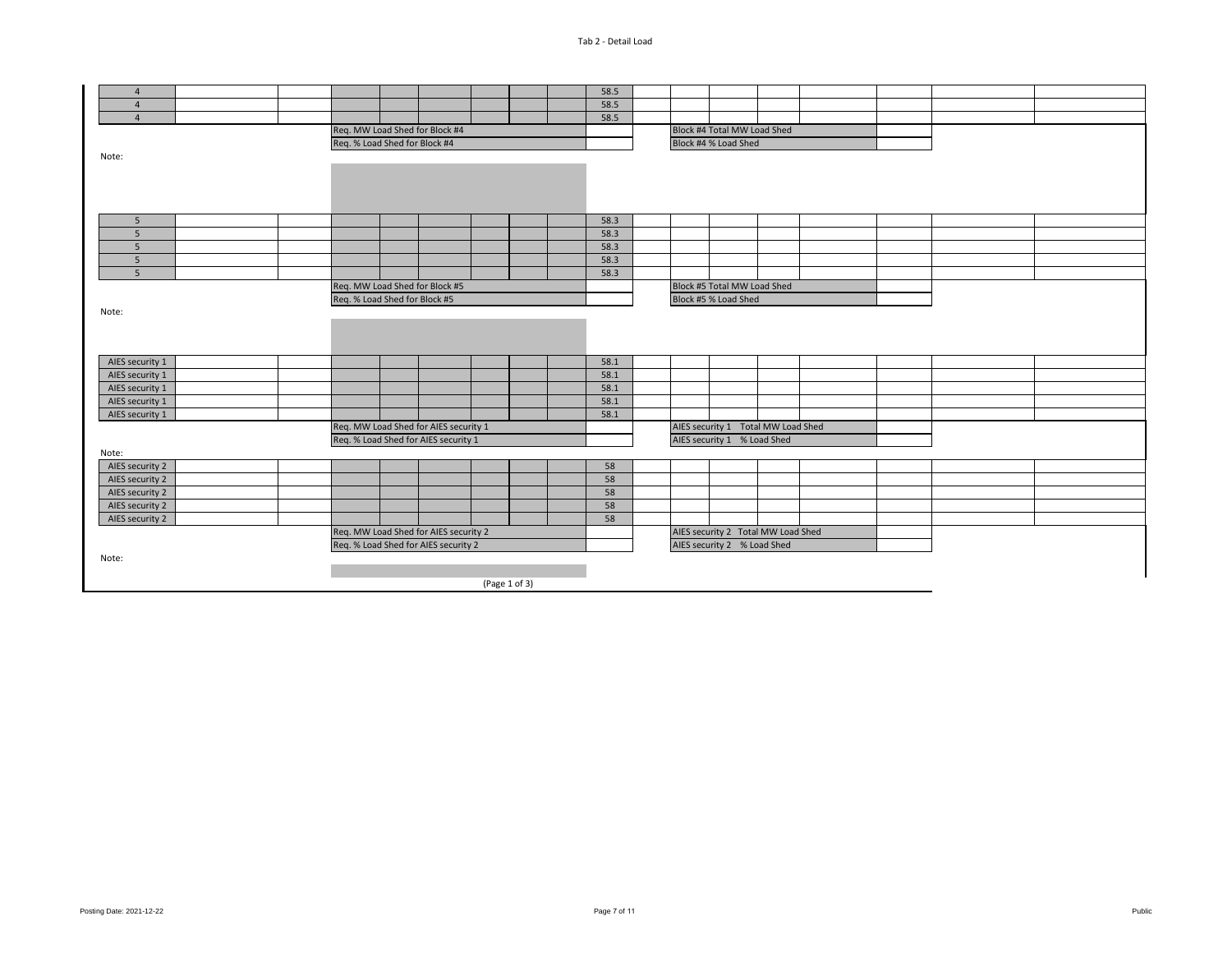| $\overline{4}$                                |                                |  |                                       |               |  |  | 58.5 |                             |                                    |  |  |  |  |  |
|-----------------------------------------------|--------------------------------|--|---------------------------------------|---------------|--|--|------|-----------------------------|------------------------------------|--|--|--|--|--|
| $\overline{4}$                                |                                |  |                                       |               |  |  | 58.5 |                             |                                    |  |  |  |  |  |
| $\overline{4}$                                |                                |  |                                       |               |  |  | 58.5 |                             |                                    |  |  |  |  |  |
|                                               |                                |  | Req. MW Load Shed for Block #4        |               |  |  |      |                             | Block #4 Total MW Load Shed        |  |  |  |  |  |
|                                               | Req. % Load Shed for Block #4  |  |                                       |               |  |  |      |                             | Block #4 % Load Shed               |  |  |  |  |  |
| Note:                                         |                                |  |                                       |               |  |  |      |                             |                                    |  |  |  |  |  |
|                                               |                                |  |                                       |               |  |  |      |                             |                                    |  |  |  |  |  |
|                                               |                                |  |                                       |               |  |  |      |                             |                                    |  |  |  |  |  |
|                                               |                                |  |                                       |               |  |  |      |                             |                                    |  |  |  |  |  |
|                                               |                                |  |                                       |               |  |  |      |                             |                                    |  |  |  |  |  |
| 5                                             |                                |  |                                       |               |  |  | 58.3 |                             |                                    |  |  |  |  |  |
| 5                                             |                                |  |                                       |               |  |  | 58.3 |                             |                                    |  |  |  |  |  |
| 5                                             |                                |  |                                       |               |  |  | 58.3 |                             |                                    |  |  |  |  |  |
| 5                                             |                                |  |                                       |               |  |  | 58.3 |                             |                                    |  |  |  |  |  |
| 5                                             |                                |  |                                       |               |  |  | 58.3 |                             |                                    |  |  |  |  |  |
|                                               | Req. MW Load Shed for Block #5 |  |                                       |               |  |  |      |                             | Block #5 Total MW Load Shed        |  |  |  |  |  |
|                                               | Req. % Load Shed for Block #5  |  |                                       |               |  |  |      |                             | Block #5 % Load Shed               |  |  |  |  |  |
| Note:                                         |                                |  |                                       |               |  |  |      |                             |                                    |  |  |  |  |  |
|                                               |                                |  |                                       |               |  |  |      |                             |                                    |  |  |  |  |  |
|                                               |                                |  |                                       |               |  |  |      |                             |                                    |  |  |  |  |  |
| AIES security 1                               |                                |  |                                       |               |  |  | 58.1 |                             |                                    |  |  |  |  |  |
| AIES security 1                               |                                |  |                                       |               |  |  | 58.1 |                             |                                    |  |  |  |  |  |
|                                               |                                |  |                                       |               |  |  | 58.1 |                             |                                    |  |  |  |  |  |
| AIES security 1                               |                                |  |                                       |               |  |  | 58.1 |                             |                                    |  |  |  |  |  |
| AIES security 1                               |                                |  |                                       |               |  |  | 58.1 |                             |                                    |  |  |  |  |  |
| AIES security 1                               |                                |  | Req. MW Load Shed for AIES security 1 |               |  |  |      |                             |                                    |  |  |  |  |  |
|                                               |                                |  |                                       |               |  |  |      |                             | AIES security 1 Total MW Load Shed |  |  |  |  |  |
|                                               |                                |  | Req. % Load Shed for AIES security 1  |               |  |  |      |                             | AIES security 1 % Load Shed        |  |  |  |  |  |
| Note:<br>AIES security 2                      |                                |  |                                       |               |  |  | 58   |                             |                                    |  |  |  |  |  |
| AIES security 2                               |                                |  |                                       |               |  |  | 58   |                             |                                    |  |  |  |  |  |
| AIES security 2                               |                                |  |                                       |               |  |  | 58   |                             |                                    |  |  |  |  |  |
| AIES security 2                               |                                |  |                                       |               |  |  | 58   |                             |                                    |  |  |  |  |  |
|                                               |                                |  |                                       |               |  |  | 58   |                             |                                    |  |  |  |  |  |
| AIES security 2                               |                                |  | Req. MW Load Shed for AIES security 2 |               |  |  |      |                             | AIES security 2 Total MW Load Shed |  |  |  |  |  |
|                                               |                                |  |                                       |               |  |  |      |                             |                                    |  |  |  |  |  |
| Req. % Load Shed for AIES security 2<br>Note: |                                |  |                                       |               |  |  |      | AIES security 2 % Load Shed |                                    |  |  |  |  |  |
|                                               |                                |  |                                       |               |  |  |      |                             |                                    |  |  |  |  |  |
|                                               |                                |  |                                       | (Page 1 of 3) |  |  |      |                             |                                    |  |  |  |  |  |
|                                               |                                |  |                                       |               |  |  |      |                             |                                    |  |  |  |  |  |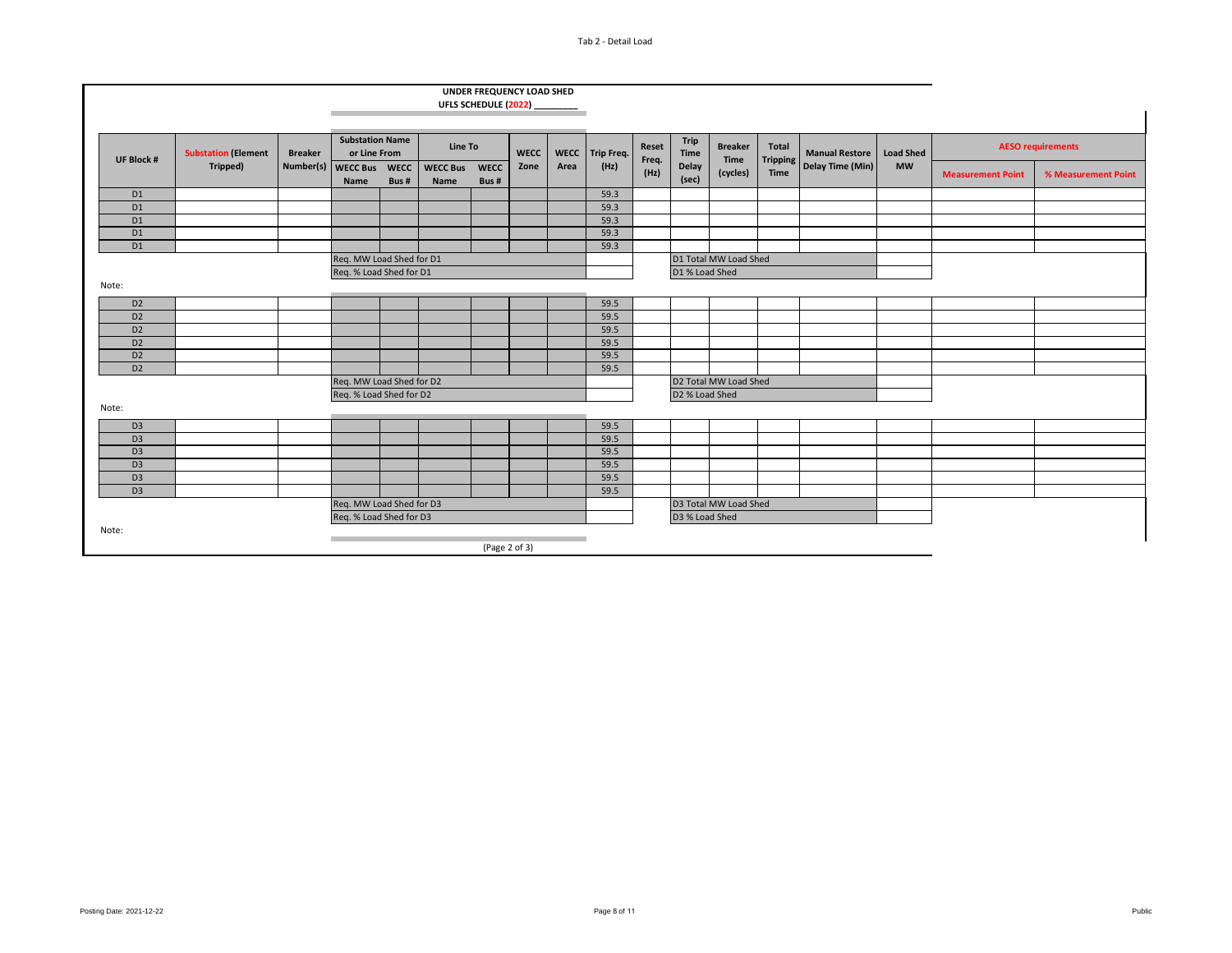#### Tab 2 - Detail Load

|                   |                            |                          |                                        |      |                         | UFLS SCHEDULE (2022) | UNDER FREQUENCY LOAD SHED |             |                   |                |                                              |                        |                          |                                           |                               |                          |                     |
|-------------------|----------------------------|--------------------------|----------------------------------------|------|-------------------------|----------------------|---------------------------|-------------|-------------------|----------------|----------------------------------------------|------------------------|--------------------------|-------------------------------------------|-------------------------------|--------------------------|---------------------|
|                   |                            |                          |                                        |      |                         |                      |                           |             |                   |                |                                              |                        |                          |                                           |                               |                          |                     |
| <b>UF Block #</b> | <b>Substation (Element</b> | <b>Breaker</b>           | <b>Substation Name</b><br>or Line From |      | <b>Line To</b>          |                      | <b>WECC</b>               | <b>WECC</b> | <b>Trip Freq.</b> | Reset<br>Freq. | <b>Trip</b><br><b>Time</b><br>Delay<br>(sec) | <b>Breaker</b><br>Time | Total<br><b>Tripping</b> | <b>Manual Restore</b><br>Delay Time (Min) | <b>Load Shed</b><br><b>MW</b> | <b>AESO requirements</b> |                     |
|                   | Tripped)                   | Number(s)                | WECC Bus WECC<br>Name                  | Bus# | <b>WECC Bus</b><br>Name | <b>WECC</b><br>Bus#  | Zone                      | Area        | (Hz)              | (Hz)           |                                              | (cycles)               | Time                     |                                           |                               | <b>Measurement Point</b> | % Measurement Point |
| D <sub>1</sub>    |                            |                          |                                        |      |                         |                      |                           |             | 59.3              |                |                                              |                        |                          |                                           |                               |                          |                     |
| D <sub>1</sub>    |                            |                          |                                        |      |                         |                      |                           |             | 59.3              |                |                                              |                        |                          |                                           |                               |                          |                     |
| D <sub>1</sub>    |                            |                          |                                        |      |                         |                      |                           |             | 59.3              |                |                                              |                        |                          |                                           |                               |                          |                     |
| D <sub>1</sub>    |                            |                          |                                        |      |                         |                      |                           |             | 59.3              |                |                                              |                        |                          |                                           |                               |                          |                     |
| D <sub>1</sub>    |                            |                          |                                        |      |                         |                      |                           |             | 59.3              |                |                                              |                        |                          |                                           |                               |                          |                     |
|                   |                            | Req. MW Load Shed for D1 |                                        |      |                         |                      |                           |             |                   |                |                                              | D1 Total MW Load Shed  |                          |                                           |                               |                          |                     |
|                   |                            |                          | Reg. % Load Shed for D1                |      |                         |                      |                           |             |                   |                | D1 % Load Shed                               |                        |                          |                                           |                               |                          |                     |
| Note:             |                            |                          |                                        |      |                         |                      |                           |             |                   |                |                                              |                        |                          |                                           |                               |                          |                     |
| D <sub>2</sub>    |                            |                          |                                        |      |                         |                      |                           |             | 59.5              |                |                                              |                        |                          |                                           |                               |                          |                     |
| D <sub>2</sub>    |                            |                          |                                        |      |                         |                      |                           |             | 59.5              |                |                                              |                        |                          |                                           |                               |                          |                     |
| D <sub>2</sub>    |                            |                          |                                        |      |                         |                      |                           |             | 59.5              |                |                                              |                        |                          |                                           |                               |                          |                     |
| D <sub>2</sub>    |                            |                          |                                        |      |                         |                      |                           |             | 59.5              |                |                                              |                        |                          |                                           |                               |                          |                     |
| D <sub>2</sub>    |                            |                          |                                        |      |                         |                      |                           |             | 59.5              |                |                                              |                        |                          |                                           |                               |                          |                     |
| D <sub>2</sub>    |                            |                          |                                        |      |                         |                      |                           |             | 59.5              |                |                                              |                        |                          |                                           |                               |                          |                     |
|                   |                            |                          | Req. MW Load Shed for D2               |      |                         |                      |                           |             |                   |                | D2 Total MW Load Shed                        |                        |                          |                                           |                               |                          |                     |
|                   |                            |                          | Req. % Load Shed for D2                |      |                         |                      |                           |             |                   |                | D2 % Load Shed                               |                        |                          |                                           |                               |                          |                     |
| Note:             |                            |                          |                                        |      |                         |                      |                           |             |                   |                |                                              |                        |                          |                                           |                               |                          |                     |
| D <sub>3</sub>    |                            |                          |                                        |      |                         |                      |                           |             | 59.5              |                |                                              |                        |                          |                                           |                               |                          |                     |
| D <sub>3</sub>    |                            |                          |                                        |      |                         |                      |                           |             | 59.5              |                |                                              |                        |                          |                                           |                               |                          |                     |
| D <sub>3</sub>    |                            |                          |                                        |      |                         |                      |                           |             | 59.5              |                |                                              |                        |                          |                                           |                               |                          |                     |
| D <sub>3</sub>    |                            |                          |                                        |      |                         |                      |                           |             | 59.5              |                |                                              |                        |                          |                                           |                               |                          |                     |
| D <sub>3</sub>    |                            |                          |                                        |      |                         |                      |                           |             | 59.5              |                |                                              |                        |                          |                                           |                               |                          |                     |
| D <sub>3</sub>    |                            |                          |                                        |      |                         |                      |                           |             | 59.5              |                |                                              |                        |                          |                                           |                               |                          |                     |
|                   | Req. MW Load Shed for D3   |                          |                                        |      |                         |                      |                           |             |                   |                |                                              | D3 Total MW Load Shed  |                          |                                           |                               |                          |                     |
|                   |                            |                          | Req. % Load Shed for D3                |      |                         |                      |                           |             |                   | D3 % Load Shed |                                              |                        |                          |                                           |                               |                          |                     |
| Note:             |                            |                          |                                        |      |                         |                      |                           |             |                   |                |                                              |                        |                          |                                           |                               |                          |                     |
|                   |                            |                          |                                        |      |                         | (Page $2$ of $3$ )   |                           |             |                   |                |                                              |                        |                          |                                           |                               |                          |                     |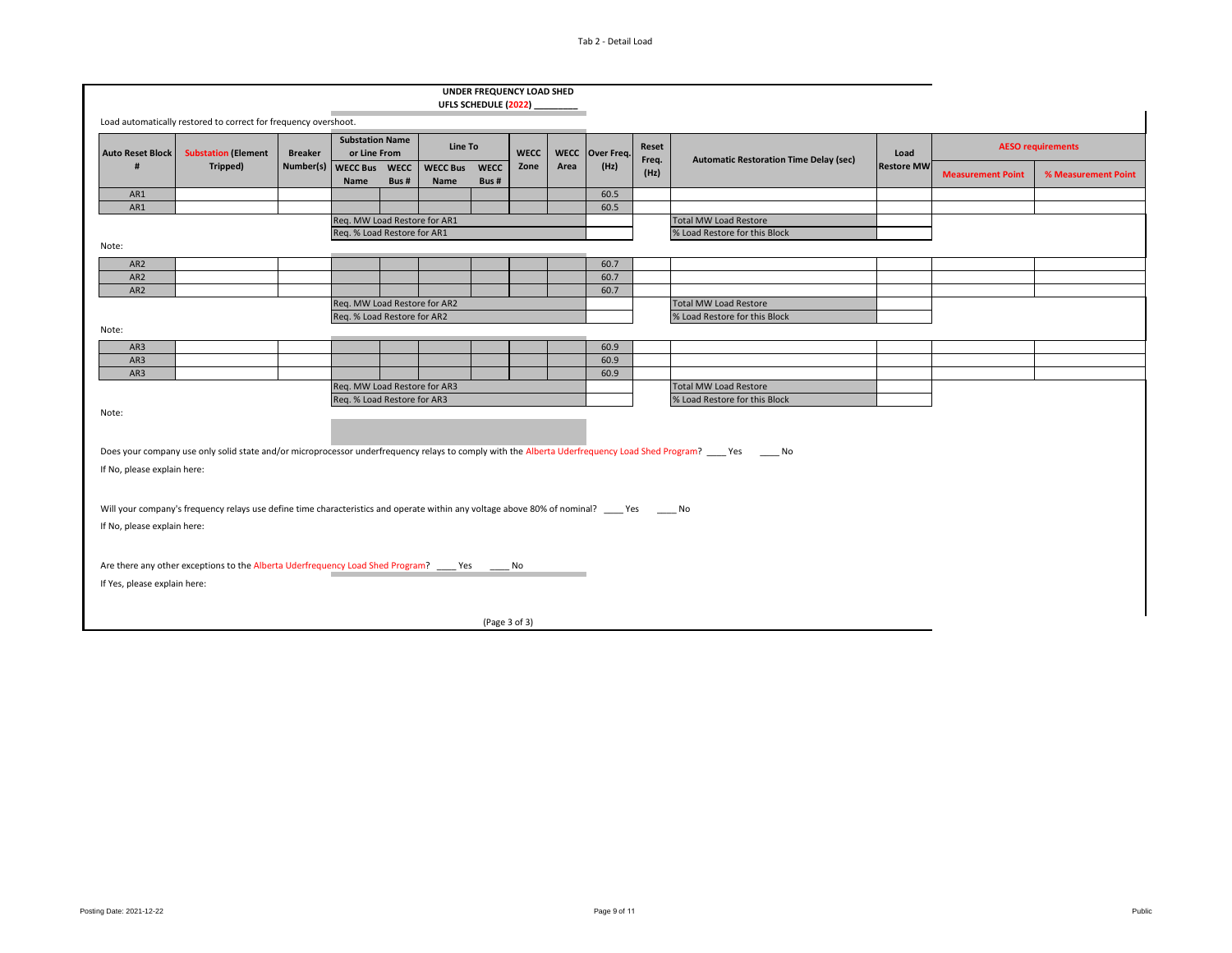|                                    |                                                                                                                                             |                |                                                             |                        |                         |                      | UNDER FREQUENCY LOAD SHED |                |                                               |      |                                                                                                                                                                  |                   |                          |                     |
|------------------------------------|---------------------------------------------------------------------------------------------------------------------------------------------|----------------|-------------------------------------------------------------|------------------------|-------------------------|----------------------|---------------------------|----------------|-----------------------------------------------|------|------------------------------------------------------------------------------------------------------------------------------------------------------------------|-------------------|--------------------------|---------------------|
|                                    |                                                                                                                                             |                |                                                             |                        |                         | UFLS SCHEDULE (2022) |                           |                |                                               |      |                                                                                                                                                                  |                   |                          |                     |
|                                    | Load automatically restored to correct for frequency overshoot.                                                                             |                |                                                             |                        |                         |                      |                           |                |                                               |      |                                                                                                                                                                  |                   |                          |                     |
| <b>Auto Reset Block</b>            | <b>Substation (Element</b>                                                                                                                  | <b>Breaker</b> | <b>Substation Name</b><br>or Line From                      | Line To<br><b>WECC</b> |                         | <b>WECC</b>          | Over Freq.                | Reset<br>Freq. | <b>Automatic Restoration Time Delay (sec)</b> | Load | <b>AESO requirements</b>                                                                                                                                         |                   |                          |                     |
|                                    | Tripped)                                                                                                                                    | Number(s)      | WECC Bus WECC<br>Name                                       | Bus#                   | <b>WECC Bus</b><br>Name | <b>WECC</b><br>Bus#  | Zone                      | Area           | (Hz)                                          | (Hz) |                                                                                                                                                                  | <b>Restore MW</b> | <b>Measurement Point</b> | % Measurement Point |
| AR1                                |                                                                                                                                             |                |                                                             |                        |                         |                      |                           |                | 60.5                                          |      |                                                                                                                                                                  |                   |                          |                     |
| AR1                                |                                                                                                                                             |                |                                                             |                        |                         |                      |                           |                | 60.5                                          |      |                                                                                                                                                                  |                   |                          |                     |
|                                    |                                                                                                                                             |                | Req. MW Load Restore for AR1<br>Req. % Load Restore for AR1 |                        |                         |                      |                           |                |                                               |      | <b>Total MW Load Restore</b><br>% Load Restore for this Block                                                                                                    |                   |                          |                     |
| Note:                              |                                                                                                                                             |                |                                                             |                        |                         |                      |                           |                |                                               |      |                                                                                                                                                                  |                   |                          |                     |
|                                    |                                                                                                                                             |                |                                                             |                        |                         |                      |                           |                |                                               |      |                                                                                                                                                                  |                   |                          |                     |
| AR <sub>2</sub><br>AR <sub>2</sub> |                                                                                                                                             |                |                                                             |                        |                         |                      |                           |                | 60.7<br>60.7                                  |      |                                                                                                                                                                  |                   |                          |                     |
| AR <sub>2</sub>                    |                                                                                                                                             |                |                                                             |                        |                         |                      |                           |                | 60.7                                          |      |                                                                                                                                                                  |                   |                          |                     |
|                                    |                                                                                                                                             |                |                                                             |                        |                         |                      |                           |                |                                               |      | <b>Total MW Load Restore</b>                                                                                                                                     |                   |                          |                     |
|                                    | Req. MW Load Restore for AR2<br>Req. % Load Restore for AR2                                                                                 |                |                                                             |                        |                         |                      |                           |                |                                               |      | % Load Restore for this Block                                                                                                                                    |                   |                          |                     |
| Note:                              |                                                                                                                                             |                |                                                             |                        |                         |                      |                           |                |                                               |      |                                                                                                                                                                  |                   |                          |                     |
| AR3                                |                                                                                                                                             |                |                                                             |                        |                         |                      |                           |                | 60.9                                          |      |                                                                                                                                                                  |                   |                          |                     |
| AR3                                |                                                                                                                                             |                |                                                             |                        |                         |                      |                           |                | 60.9                                          |      |                                                                                                                                                                  |                   |                          |                     |
| AR3                                |                                                                                                                                             |                |                                                             |                        |                         |                      |                           |                | 60.9                                          |      |                                                                                                                                                                  |                   |                          |                     |
|                                    |                                                                                                                                             |                | Req. MW Load Restore for AR3                                |                        |                         |                      |                           |                |                                               |      | <b>Total MW Load Restore</b>                                                                                                                                     |                   |                          |                     |
|                                    |                                                                                                                                             |                | Req. % Load Restore for AR3                                 |                        |                         |                      |                           |                |                                               |      | % Load Restore for this Block                                                                                                                                    |                   |                          |                     |
| Note:                              |                                                                                                                                             |                |                                                             |                        |                         |                      |                           |                |                                               |      |                                                                                                                                                                  |                   |                          |                     |
|                                    |                                                                                                                                             |                |                                                             |                        |                         |                      |                           |                |                                               |      |                                                                                                                                                                  |                   |                          |                     |
|                                    |                                                                                                                                             |                |                                                             |                        |                         |                      |                           |                |                                               |      | Does your company use only solid state and/or microprocessor underfrequency relays to comply with the Alberta Uderfrequency Load Shed Program? ____ Yes _____ No |                   |                          |                     |
|                                    |                                                                                                                                             |                |                                                             |                        |                         |                      |                           |                |                                               |      |                                                                                                                                                                  |                   |                          |                     |
| If No, please explain here:        |                                                                                                                                             |                |                                                             |                        |                         |                      |                           |                |                                               |      |                                                                                                                                                                  |                   |                          |                     |
|                                    |                                                                                                                                             |                |                                                             |                        |                         |                      |                           |                |                                               |      |                                                                                                                                                                  |                   |                          |                     |
|                                    | Will your company's frequency relays use define time characteristics and operate within any voltage above 80% of nominal? ____ Yes _____ No |                |                                                             |                        |                         |                      |                           |                |                                               |      |                                                                                                                                                                  |                   |                          |                     |
| If No, please explain here:        |                                                                                                                                             |                |                                                             |                        |                         |                      |                           |                |                                               |      |                                                                                                                                                                  |                   |                          |                     |
|                                    |                                                                                                                                             |                |                                                             |                        |                         |                      |                           |                |                                               |      |                                                                                                                                                                  |                   |                          |                     |
|                                    |                                                                                                                                             |                |                                                             |                        |                         |                      |                           |                |                                               |      |                                                                                                                                                                  |                   |                          |                     |
|                                    | Are there any other exceptions to the Alberta Uderfrequency Load Shed Program? ____ Yes ______ No                                           |                |                                                             |                        |                         |                      |                           |                |                                               |      |                                                                                                                                                                  |                   |                          |                     |
| If Yes, please explain here:       |                                                                                                                                             |                |                                                             |                        |                         |                      |                           |                |                                               |      |                                                                                                                                                                  |                   |                          |                     |
|                                    |                                                                                                                                             |                |                                                             |                        |                         |                      |                           |                |                                               |      |                                                                                                                                                                  |                   |                          |                     |
|                                    |                                                                                                                                             |                |                                                             |                        |                         | (Page 3 of 3)        |                           |                |                                               |      |                                                                                                                                                                  |                   |                          |                     |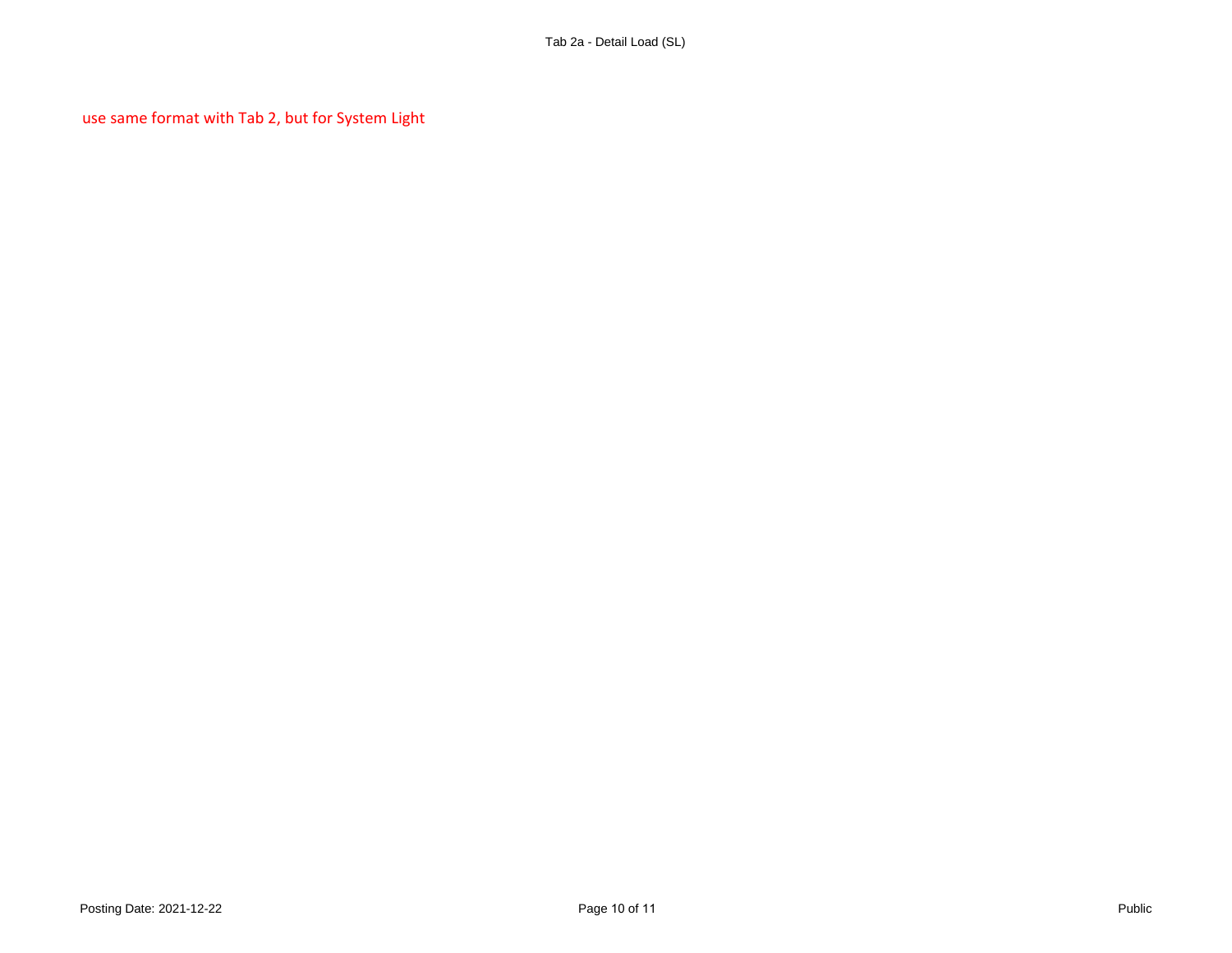use same format with Tab 2, but for System Light